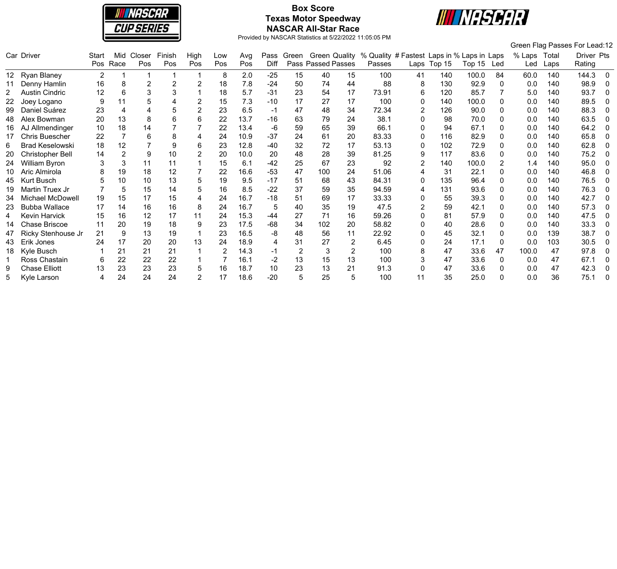

# **Box Score Texas Motor Speedway NASCAR All-Star Race**



|                 |                        |              |             |               |               |             |            |            |              |                |                                            |    |                                                      |                |             |        |     |               |               | Green Flag Passes For Lead:12 |              |
|-----------------|------------------------|--------------|-------------|---------------|---------------|-------------|------------|------------|--------------|----------------|--------------------------------------------|----|------------------------------------------------------|----------------|-------------|--------|-----|---------------|---------------|-------------------------------|--------------|
|                 | Car Driver             | Start<br>Pos | Mid<br>Race | Closer<br>Pos | Finish<br>Pos | High<br>Pos | Low<br>Pos | Avg<br>Pos | Pass<br>Diff | Green          | <b>Green Quality</b><br>Pass Passed Passes |    | % Quality # Fastest Laps in % Laps in Laps<br>Passes |                | Laps Top 15 | Top 15 | Led | % Laps<br>Led | Total<br>Laps | Driver Pts<br>Rating          |              |
| 12 <sup>1</sup> | <b>Ryan Blaney</b>     | 2            |             |               |               |             | 8          | 2.0        | $-25$        | 15             | 40                                         | 15 | 100                                                  | 41             | 140         | 100.0  | 84  | 60.0          | 140           | 144.3                         | $\mathbf{0}$ |
|                 | Denny Hamlin           | 16           | 8           | 2             | 2             |             | 18         | 7.8        | $-24$        | 50             | 74                                         | 44 | 88                                                   | 8              | 130         | 92.9   |     | 0.0           | 140           | 98.9                          | 0            |
| 2               | <b>Austin Cindric</b>  | 12           | 6           | 3             | 3             |             | 18         | 5.7        | $-31$        | 23             | 54                                         | 17 | 73.91                                                | 6              | 120         | 85.7   |     | 5.0           | 140           | 93.7                          | $\Omega$     |
| 22              | Joey Logano            | 9            | 11          |               |               |             | 15         | 7.3        | $-10$        | 17             | 27                                         | 17 | 100                                                  | 0              | 140         | 100.0  |     | 0.0           | 140           | 89.5                          |              |
| 99              | Daniel Suárez          | 23           |             |               |               |             | 23         | 6.5        | -1           | 47             | 48                                         | 34 | 72.34                                                |                | 126         | 90.0   |     | 0.0           | 140           | 88.3                          | 0            |
| 48              | Alex Bowman            | 20           | 13          | 8             | 6             | 6           | 22         | 13.7       | $-16$        | 63             | 79                                         | 24 | 38.1                                                 | $\Omega$       | 98          | 70.0   |     | 0.0           | 140           | 63.5                          |              |
| 16              | AJ Allmendinger        | 10           | 18          | 14            |               |             | 22         | 13.4       | -6           | 59             | 65                                         | 39 | 66.1                                                 | 0              | 94          | 67.1   |     | 0.0           | 140           | 64.2                          | - 0          |
|                 | <b>Chris Buescher</b>  | 22           |             | 6             | 8             |             | 24         | 10.9       | $-37$        | 24             | 61                                         | 20 | 83.33                                                | 0              | 116         | 82.9   |     | 0.0           | 140           | 65.8                          | $\mathbf 0$  |
| 6               | <b>Brad Keselowski</b> | 18           | 12          |               | 9             | 6           | 23         | 12.8       | $-40$        | 32             | 72                                         | 17 | 53.13                                                | 0              | 102         | 72.9   |     | 0.0           | 140           | 62.8                          | $\Omega$     |
| 20              | Christopher Bell       | 14           |             | 9             | 10            |             | 20         | 10.0       | 20           | 48             | 28                                         | 39 | 81.25                                                | 9              | 117         | 83.6   |     | 0.0           | 140           | 75.2                          | 0            |
| 24.             | <b>William Byron</b>   |              | 3           | 11            | 11            |             | 15         | 6.1        | $-42$        | 25             | 67                                         | 23 | 92                                                   | 2              | 140         | 100.0  |     | 1.4           | 140           | 95.0                          | $\Omega$     |
|                 | Aric Almirola          | 8            | 19          | 18            | 12            |             | 22         | 16.6       | $-53$        | 47             | 100                                        | 24 | 51.06                                                | 4              | 31          | 22.1   |     | 0.0           | 140           | 46.8                          | 0            |
| 45              | <b>Kurt Busch</b>      |              | 10          | 10            | 13            |             | 19         | 9.5        | $-17$        | 51             | 68                                         | 43 | 84.31                                                | 0              | 135         | 96.4   |     | 0.0           | 140           | 76.5                          | 0            |
| 19              | Martin Truex Jr        |              | 5           | 15            | 14            |             | 16         | 8.5        | $-22$        | 37             | 59                                         | 35 | 94.59                                                | 4              | 131         | 93.6   |     | 0.0           | 140           | 76.3                          | 0            |
| 34              | Michael McDowell       | 19           | 15          | 17            | 15            |             | 24         | 16.7       | $-18$        | 51             | 69                                         | 17 | 33.33                                                | 0              | 55          | 39.3   |     | 0.0           | 140           | 42.7                          |              |
| 23              | <b>Bubba Wallace</b>   | 17           | 14          | 16            | 16            | 8           | 24         | 16.7       | 5            | 40             | 35                                         | 19 | 47.5                                                 | $\overline{2}$ | 59          | 42.1   |     | 0.0           | 140           | 57.3                          | 0            |
| 4               | <b>Kevin Harvick</b>   | 15           | 16          | 12            | 17            | 11          | 24         | 15.3       | -44          | 27             | 71                                         | 16 | 59.26                                                | 0              | 81          | 57.9   |     | 0.0           | 140           | 47.5                          | 0            |
|                 | <b>Chase Briscoe</b>   | 11           | 20          | 19            | 18            | 9           | 23         | 17.5       | $-68$        | 34             | 102                                        | 20 | 58.82                                                | 0              | 40          | 28.6   |     | 0.0           | 140           | 33.3                          | $\Omega$     |
| 47              | Ricky Stenhouse Jr     | 21           | 9           | 13            | 19            |             | 23         | 16.5       | -8           | 48             | 56                                         | 11 | 22.92                                                | $\Omega$       | 45          | 32.1   |     | 0.0           | 139           | 38.7                          | $\Omega$     |
| 43              | Erik Jones             | 24           | 17          | 20            | 20            | 13          | 24         | 18.9       | 4            | 31             | 27                                         | 2  | 6.45                                                 | 0              | 24          | 17.1   | 0   | 0.0           | 103           | 30.5                          |              |
| 18              | Kyle Busch             |              | 21          | 21            | 21            |             | 2          | 14.3       | -1           | $\overline{2}$ |                                            |    | 100                                                  | 8              | 47          | 33.6   | 47  | 100.0         | 47            | 97.8                          | 0            |
|                 | Ross Chastain          | 6            | 22          | 22            | 22            |             |            | 16.1       | -2           | 13             | 15                                         | 13 | 100                                                  |                | 47          | 33.6   | 0   | 0.0           | 47            | 67.1                          | $\mathbf 0$  |
| 9               | <b>Chase Elliott</b>   | 13           | 23          | 23            | 23            | 5           | 16         | 18.7       | 10           | 23             | 13                                         | 21 | 91.3                                                 |                | 47          | 33.6   |     | 0.0           | 47            | 42.3                          |              |
|                 | Kyle Larson            |              | 24          | 24            | 24            |             | 17         | 18.6       | $-20$        | 5              | 25                                         |    | 100                                                  | 11             | 35          | 25.0   |     | 0.0           | 36            | 75.1                          |              |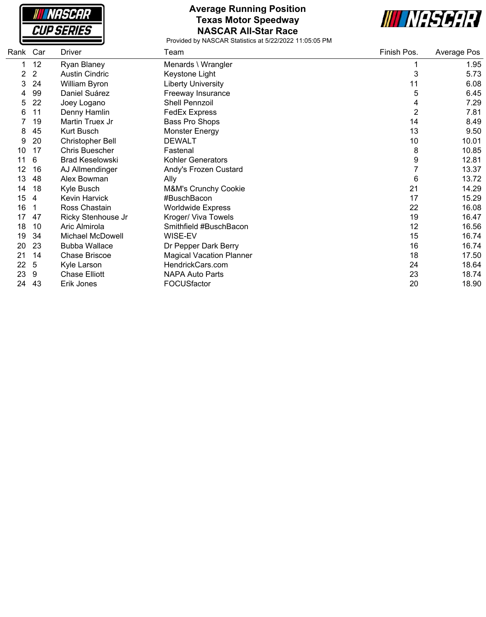| <b>NASCAR</b>     |  |
|-------------------|--|
| <i>CUP SERIES</i> |  |

#### **Average Running Position Texas Motor Speedway NASCAR All-Star Race**



| Rank Car |                | Driver                  | Team                            | Finish Pos.    | Average Pos |
|----------|----------------|-------------------------|---------------------------------|----------------|-------------|
|          | 12             | Ryan Blaney             | Menards \ Wrangler              |                | 1.95        |
| 2        | $\overline{2}$ | <b>Austin Cindric</b>   | Keystone Light                  | 3              | 5.73        |
| 3        | 24             | William Byron           | <b>Liberty University</b>       | 11             | 6.08        |
| 4        | 99             | Daniel Suárez           | Freeway Insurance               | 5              | 6.45        |
| 5        | 22             | Joey Logano             | Shell Pennzoil                  | 4              | 7.29        |
| 6        | 11             | Denny Hamlin            | <b>FedEx Express</b>            | $\overline{2}$ | 7.81        |
|          | 19             | Martin Truex Jr         | Bass Pro Shops                  | 14             | 8.49        |
| 8        | 45             | Kurt Busch              | <b>Monster Energy</b>           | 13             | 9.50        |
| 9        | 20             | <b>Christopher Bell</b> | <b>DEWALT</b>                   | 10             | 10.01       |
| 10       | 17             | Chris Buescher          | Fastenal                        | 8              | 10.85       |
| 11       | 6              | <b>Brad Keselowski</b>  | <b>Kohler Generators</b>        | 9              | 12.81       |
| 12       | 16             | AJ Allmendinger         | Andy's Frozen Custard           | $\overline{7}$ | 13.37       |
| 13       | 48             | Alex Bowman             | Ally                            | 6              | 13.72       |
| 14       | 18             | Kyle Busch              | M&M's Crunchy Cookie            | 21             | 14.29       |
| 15       | 4              | Kevin Harvick           | #BuschBacon                     | 17             | 15.29       |
| 16       |                | Ross Chastain           | <b>Worldwide Express</b>        | 22             | 16.08       |
| 17       | 47             | Ricky Stenhouse Jr      | Kroger/ Viva Towels             | 19             | 16.47       |
| 18       | 10             | Aric Almirola           | Smithfield #BuschBacon          | 12             | 16.56       |
| 19       | 34             | Michael McDowell        | WISE-EV                         | 15             | 16.74       |
| 20       | 23             | <b>Bubba Wallace</b>    | Dr Pepper Dark Berry            | 16             | 16.74       |
| 21       | 14             | Chase Briscoe           | <b>Magical Vacation Planner</b> | 18             | 17.50       |
| 22       | 5              | Kyle Larson             | HendrickCars.com                | 24             | 18.64       |
| 23       | 9              | <b>Chase Elliott</b>    | <b>NAPA Auto Parts</b>          | 23             | 18.74       |
| 24       | 43             | Erik Jones              | FOCUSfactor                     | 20             | 18.90       |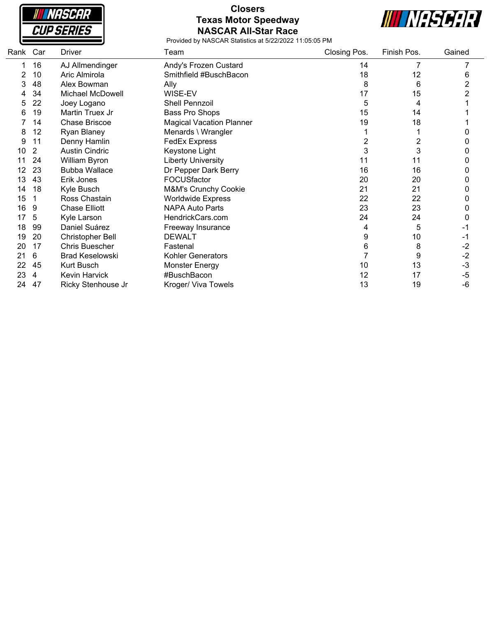

# **Closers Texas Motor Speedway NASCAR All-Star Race**



| Rank | Car | Driver                 | Team                            | Closing Pos.   | Finish Pos. | Gained         |
|------|-----|------------------------|---------------------------------|----------------|-------------|----------------|
|      | 16  | AJ Allmendinger        | Andy's Frozen Custard           | 14             |             |                |
| 2    | 10  | Aric Almirola          | Smithfield #BuschBacon          | 18             | 12          | 6              |
| 3    | 48  | Alex Bowman            | Ally                            | 8              | 6           | 2              |
|      | 34  | Michael McDowell       | WISE-EV                         | 17             | 15          | $\overline{2}$ |
| 5    | 22  | Joey Logano            | <b>Shell Pennzoil</b>           | 5              | 4           |                |
| 6    | 19  | Martin Truex Jr        | Bass Pro Shops                  | 15             | 14          |                |
|      | 14  | <b>Chase Briscoe</b>   | <b>Magical Vacation Planner</b> | 19             | 18          |                |
| 8    | 12  | Ryan Blaney            | Menards \ Wrangler              |                |             |                |
| 9    | 11  | Denny Hamlin           | <b>FedEx Express</b>            | $\overline{2}$ | 2           | 0              |
| 10   | 2   | <b>Austin Cindric</b>  | Keystone Light                  | 3              | 3           | 0              |
|      | 24  | William Byron          | <b>Liberty University</b>       | 11             | 11          | 0              |
| 12   | 23  | <b>Bubba Wallace</b>   | Dr Pepper Dark Berry            | 16             | 16          | 0              |
| 13   | 43  | Erik Jones             | FOCUSfactor                     | 20             | 20          | 0              |
| 14   | 18  | Kyle Busch             | M&M's Crunchy Cookie            | 21             | 21          | 0              |
| 15   |     | Ross Chastain          | <b>Worldwide Express</b>        | 22             | 22          | 0              |
| 16   | 9   | <b>Chase Elliott</b>   | <b>NAPA Auto Parts</b>          | 23             | 23          | 0              |
| 17   | 5   | Kyle Larson            | HendrickCars.com                | 24             | 24          | 0              |
| 18   | 99  | Daniel Suárez          | Freeway Insurance               | 4              | 5           |                |
| 19   | 20  | Christopher Bell       | <b>DEWALT</b>                   | 9              | 10          | -1             |
| 20   | 17  | Chris Buescher         | Fastenal                        | 6              | 8           | $-2$           |
| 21   | 6   | <b>Brad Keselowski</b> | Kohler Generators               |                | 9           | $-2$           |
| 22   | 45  | Kurt Busch             | <b>Monster Energy</b>           | 10             | 13          | $-3$           |
| 23   | 4   | <b>Kevin Harvick</b>   | #BuschBacon                     | 12             | 17          | $-5$           |
| 24   | 47  | Ricky Stenhouse Jr     | Kroger/ Viva Towels             | 13             | 19          | $-6$           |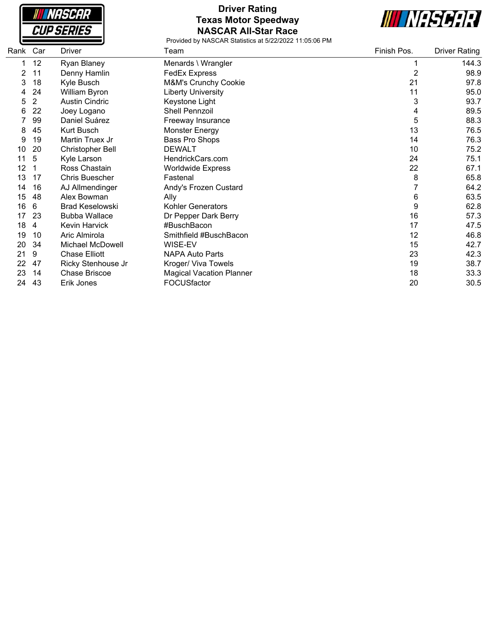**NASCAR CUP SERIES** 

### **Driver Rating Texas Motor Speedway NASCAR All-Star Race**

**III NASCAR** 

| Rank | Car            | Driver                  | Team                            | Finish Pos.    | <b>Driver Rating</b> |
|------|----------------|-------------------------|---------------------------------|----------------|----------------------|
|      | 12             | Ryan Blaney             | Menards \ Wrangler              |                | 144.3                |
| 2    | 11             | Denny Hamlin            | <b>FedEx Express</b>            | $\overline{2}$ | 98.9                 |
| 3    | 18             | Kyle Busch              | M&M's Crunchy Cookie            | 21             | 97.8                 |
| 4    | 24             | William Byron           | <b>Liberty University</b>       | 11             | 95.0                 |
| 5    | $\overline{2}$ | <b>Austin Cindric</b>   | Keystone Light                  | 3              | 93.7                 |
| 6    | 22             | Joey Logano             | Shell Pennzoil                  | 4              | 89.5                 |
|      | 99             | Daniel Suárez           | Freeway Insurance               | 5              | 88.3                 |
| 8    | 45             | Kurt Busch              | <b>Monster Energy</b>           | 13             | 76.5                 |
| 9    | 19             | Martin Truex Jr         | Bass Pro Shops                  | 14             | 76.3                 |
| 10   | 20             | <b>Christopher Bell</b> | <b>DEWALT</b>                   | 10             | 75.2                 |
| 11   | 5              | Kyle Larson             | HendrickCars.com                | 24             | 75.1                 |
| 12   |                | Ross Chastain           | <b>Worldwide Express</b>        | 22             | 67.1                 |
| 13   | 17             | <b>Chris Buescher</b>   | Fastenal                        | 8              | 65.8                 |
| 14   | 16             | AJ Allmendinger         | Andy's Frozen Custard           | 7              | 64.2                 |
| 15   | 48             | Alex Bowman             | Ally                            | 6              | 63.5                 |
| 16   | 6              | <b>Brad Keselowski</b>  | <b>Kohler Generators</b>        | 9              | 62.8                 |
| 17   | 23             | <b>Bubba Wallace</b>    | Dr Pepper Dark Berry            | 16             | 57.3                 |
| 18   | 4              | Kevin Harvick           | #BuschBacon                     | 17             | 47.5                 |
| 19   | 10             | Aric Almirola           | Smithfield #BuschBacon          | 12             | 46.8                 |
| 20   | 34             | <b>Michael McDowell</b> | WISE-EV                         | 15             | 42.7                 |
| 21   | 9              | <b>Chase Elliott</b>    | <b>NAPA Auto Parts</b>          | 23             | 42.3                 |
| 22   | 47             | Ricky Stenhouse Jr      | Kroger/ Viva Towels             | 19             | 38.7                 |
| 23   | 14             | <b>Chase Briscoe</b>    | <b>Magical Vacation Planner</b> | 18             | 33.3                 |
| 24   | 43             | Erik Jones              | FOCUSfactor                     | 20             | 30.5                 |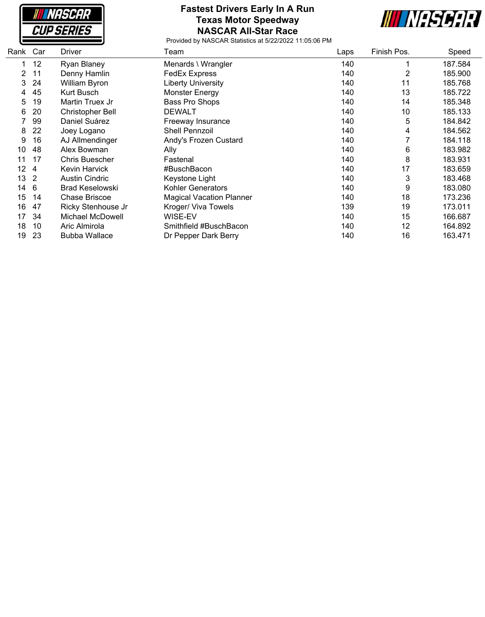**NASCAR CUP SERIES** 

#### **Fastest Drivers Early In A Run Texas Motor Speedway NASCAR All-Star Race**



| Rank                  | Car            | Driver                 | Team                            | Laps | Finish Pos. | Speed   |
|-----------------------|----------------|------------------------|---------------------------------|------|-------------|---------|
|                       | 12             | Ryan Blaney            | Menards \ Wrangler              | 140  |             | 187.584 |
| $\mathbf{2}^{\prime}$ | 11             | Denny Hamlin           | <b>FedEx Express</b>            | 140  | 2           | 185.900 |
| 3                     | 24             | William Byron          | <b>Liberty University</b>       | 140  | 11          | 185.768 |
| 4                     | 45             | Kurt Busch             | <b>Monster Energy</b>           | 140  | 13          | 185.722 |
| 5                     | 19             | Martin Truex Jr        | Bass Pro Shops                  | 140  | 14          | 185.348 |
| 6                     | 20             | Christopher Bell       | <b>DEWALT</b>                   | 140  | 10          | 185.133 |
|                       | 99             | Daniel Suárez          | Freeway Insurance               | 140  | 5           | 184.842 |
| 8                     | 22             | Joey Logano            | Shell Pennzoil                  | 140  | 4           | 184.562 |
| 9                     | 16             | AJ Allmendinger        | Andy's Frozen Custard           | 140  |             | 184.118 |
| 10                    | 48             | Alex Bowman            | Ally                            | 140  | 6           | 183.982 |
| 11                    | 17             | Chris Buescher         | Fastenal                        | 140  | 8           | 183.931 |
| 12                    | -4             | Kevin Harvick          | #BuschBacon                     | 140  | 17          | 183.659 |
| 13                    | $\overline{2}$ | <b>Austin Cindric</b>  | Keystone Light                  | 140  | 3           | 183.468 |
| 14                    | - 6            | <b>Brad Keselowski</b> | <b>Kohler Generators</b>        | 140  | 9           | 183.080 |
| 15                    | 14             | <b>Chase Briscoe</b>   | <b>Magical Vacation Planner</b> | 140  | 18          | 173.236 |
| 16                    | 47             | Ricky Stenhouse Jr     | Kroger/ Viva Towels             | 139  | 19          | 173.011 |
| 17                    | 34             | Michael McDowell       | WISE-EV                         | 140  | 15          | 166.687 |
| 18                    | 10             | Aric Almirola          | Smithfield #BuschBacon          | 140  | 12          | 164.892 |
| 19                    | 23             | <b>Bubba Wallace</b>   | Dr Pepper Dark Berry            | 140  | 16          | 163.471 |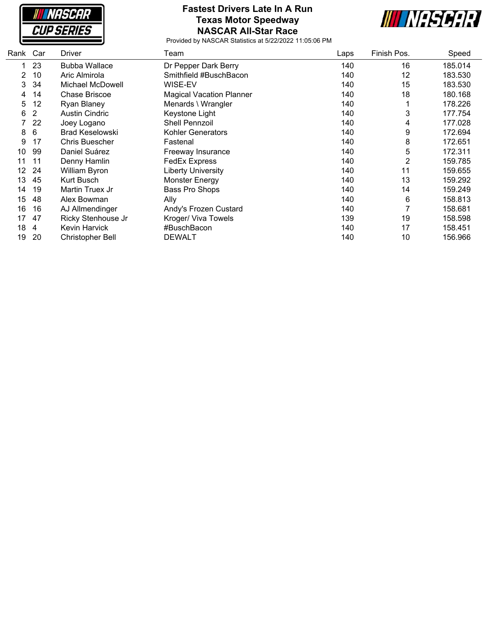**NASCAR CUP SERIES** 

#### **Fastest Drivers Late In A Run Texas Motor Speedway NASCAR All-Star Race**



| Rank | Car | Driver                 | Team                            | Laps | Finish Pos. | Speed   |
|------|-----|------------------------|---------------------------------|------|-------------|---------|
|      | 23  | <b>Bubba Wallace</b>   | Dr Pepper Dark Berry            | 140  | 16          | 185.014 |
| 2    | 10  | Aric Almirola          | Smithfield #BuschBacon          | 140  | 12          | 183.530 |
| 3    | 34  | Michael McDowell       | WISE-EV                         | 140  | 15          | 183.530 |
| 4    | 14  | <b>Chase Briscoe</b>   | <b>Magical Vacation Planner</b> | 140  | 18          | 180.168 |
| 5    | 12  | Ryan Blaney            | Menards \ Wrangler              | 140  |             | 178.226 |
| 6    | 2   | <b>Austin Cindric</b>  | Keystone Light                  | 140  | 3           | 177.754 |
|      | 22  | Joey Logano            | <b>Shell Pennzoil</b>           | 140  | 4           | 177.028 |
| 8    | 6   | <b>Brad Keselowski</b> | <b>Kohler Generators</b>        | 140  | 9           | 172.694 |
| 9    | 17  | <b>Chris Buescher</b>  | Fastenal                        | 140  | 8           | 172.651 |
| 10   | 99  | Daniel Suárez          | Freeway Insurance               | 140  | 5           | 172.311 |
| 11   | 11  | Denny Hamlin           | <b>FedEx Express</b>            | 140  | 2           | 159.785 |
| 12.  | -24 | William Byron          | <b>Liberty University</b>       | 140  | 11          | 159.655 |
| 13   | 45  | Kurt Busch             | <b>Monster Energy</b>           | 140  | 13          | 159.292 |
| 14   | 19  | Martin Truex Jr        | Bass Pro Shops                  | 140  | 14          | 159.249 |
| 15   | 48  | Alex Bowman            | Ally                            | 140  | 6           | 158.813 |
| 16   | 16  | AJ Allmendinger        | Andy's Frozen Custard           | 140  |             | 158.681 |
| 17   | 47  | Ricky Stenhouse Jr     | Kroger/ Viva Towels             | 139  | 19          | 158.598 |
| 18   | 4   | Kevin Harvick          | #BuschBacon                     | 140  | 17          | 158.451 |
| 19   | 20  | Christopher Bell       | <b>DEWALT</b>                   | 140  | 10          | 156.966 |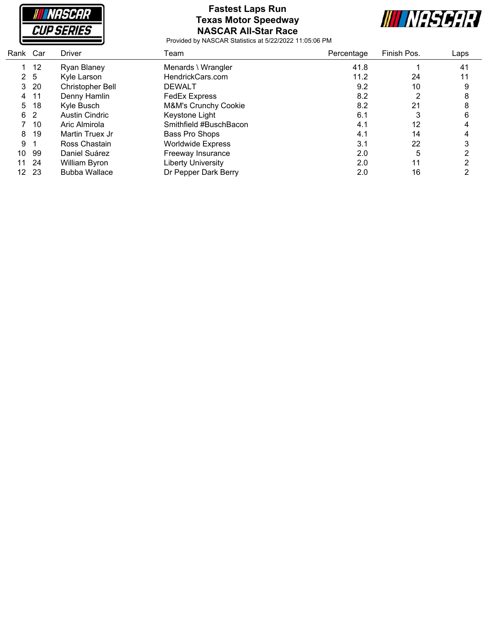

# **Fastest Laps Run Texas Motor Speedway NASCAR All-Star Race**



| Rank Car |                | <b>Driver</b>         | Team                      | Percentage | Finish Pos. | Laps |
|----------|----------------|-----------------------|---------------------------|------------|-------------|------|
|          | 12             | Ryan Blaney           | Menards \ Wrangler        | 41.8       |             | 41   |
|          | 2 <sub>5</sub> | Kyle Larson           | HendrickCars.com          | 11.2       | 24          | 11   |
| 3        | 20             | Christopher Bell      | <b>DEWALT</b>             | 9.2        | 10          | 9    |
| 4        | 11             | Denny Hamlin          | <b>FedEx Express</b>      | 8.2        |             | 8    |
| 5        | 18             | Kyle Busch            | M&M's Crunchy Cookie      | 8.2        | 21          | 8    |
|          | 6 2            | <b>Austin Cindric</b> | Keystone Light            | 6.1        |             | 6    |
|          | 10             | Aric Almirola         | Smithfield #BuschBacon    | 4.1        | 12          |      |
| 8        | 19             | Martin Truex Jr       | Bass Pro Shops            | 4.1        | 14          |      |
| 9        |                | Ross Chastain         | <b>Worldwide Express</b>  | 3.1        | 22          | 3    |
| 10       | -99            | Daniel Suárez         | Freeway Insurance         | 2.0        | 5           | ◠    |
| 11       | 24             | William Byron         | <b>Liberty University</b> | 2.0        | 11          |      |
| 12.      | -23            | <b>Bubba Wallace</b>  | Dr Pepper Dark Berry      | 2.0        | 16          |      |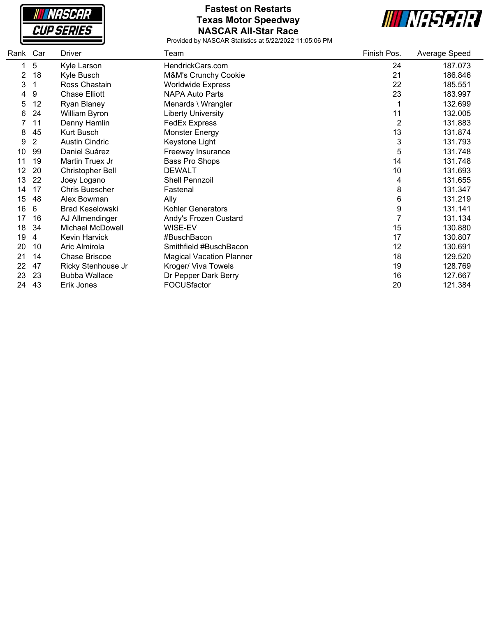**NASCAR CUP SERIES** 

### **Fastest on Restarts Texas Motor Speedway NASCAR All-Star Race**



| Rank | Car | <b>Driver</b>           | Team                            | Finish Pos. | Average Speed |
|------|-----|-------------------------|---------------------------------|-------------|---------------|
| 1    | 5   | Kyle Larson             | HendrickCars.com                | 24          | 187.073       |
| 2    | 18  | Kyle Busch              | M&M's Crunchy Cookie            | 21          | 186.846       |
| 3    |     | Ross Chastain           | <b>Worldwide Express</b>        | 22          | 185.551       |
| 4    | 9   | <b>Chase Elliott</b>    | <b>NAPA Auto Parts</b>          | 23          | 183.997       |
| 5    | 12  | Ryan Blaney             | Menards \ Wrangler              |             | 132.699       |
| 6    | 24  | William Byron           | <b>Liberty University</b>       | 11          | 132.005       |
|      | 11  | Denny Hamlin            | <b>FedEx Express</b>            | 2           | 131.883       |
| 8    | 45  | <b>Kurt Busch</b>       | Monster Energy                  | 13          | 131.874       |
| 9    | 2   | <b>Austin Cindric</b>   | Keystone Light                  | 3           | 131.793       |
| 10   | 99  | Daniel Suárez           | Freeway Insurance               | 5           | 131.748       |
| 11   | 19  | Martin Truex Jr         | Bass Pro Shops                  | 14          | 131.748       |
| 12   | 20  | <b>Christopher Bell</b> | <b>DEWALT</b>                   | 10          | 131.693       |
| 13   | 22  | Joey Logano             | Shell Pennzoil                  | 4           | 131.655       |
| 14   | 17  | Chris Buescher          | Fastenal                        | 8           | 131.347       |
| 15   | 48  | Alex Bowman             | Ally                            | 6           | 131.219       |
| 16   | 6   | <b>Brad Keselowski</b>  | <b>Kohler Generators</b>        | 9           | 131.141       |
| 17   | 16  | AJ Allmendinger         | Andy's Frozen Custard           | 7           | 131.134       |
| 18   | 34  | <b>Michael McDowell</b> | WISE-EV                         | 15          | 130.880       |
| 19   | 4   | Kevin Harvick           | #BuschBacon                     | 17          | 130.807       |
| 20   | 10  | Aric Almirola           | Smithfield #BuschBacon          | 12          | 130.691       |
| 21   | 14  | Chase Briscoe           | <b>Magical Vacation Planner</b> | 18          | 129.520       |
| 22   | 47  | Ricky Stenhouse Jr      | Kroger/ Viva Towels             | 19          | 128.769       |
| 23   | 23  | <b>Bubba Wallace</b>    | Dr Pepper Dark Berry            | 16          | 127.667       |
| 24   | 43  | Erik Jones              | FOCUSfactor                     | 20          | 121.384       |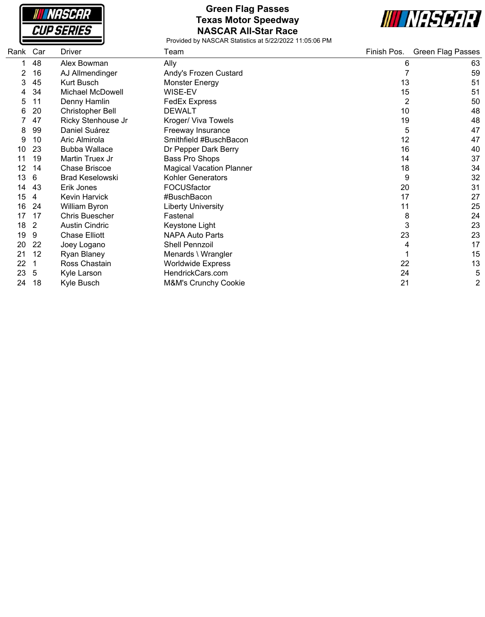

## **Green Flag Passes Texas Motor Speedway NASCAR All-Star Race**



| Rank | Car | Driver                  | Team                            | Finish Pos. | <b>Green Flag Passes</b> |
|------|-----|-------------------------|---------------------------------|-------------|--------------------------|
|      | 48  | Alex Bowman             | Ally                            | 6           | 63                       |
|      | 16  | AJ Allmendinger         | Andy's Frozen Custard           |             | 59                       |
| 3    | 45  | Kurt Busch              | Monster Energy                  | 13          | 51                       |
|      | 34  | Michael McDowell        | WISE-EV                         | 15          | 51                       |
| 5    | 11  | Denny Hamlin            | <b>FedEx Express</b>            | 2           | 50                       |
| 6    | 20  | <b>Christopher Bell</b> | <b>DEWALT</b>                   | 10          | 48                       |
|      | 47  | Ricky Stenhouse Jr      | Kroger/ Viva Towels             | 19          | 48                       |
| 8    | 99  | Daniel Suárez           | Freeway Insurance               | 5           | 47                       |
| 9    | 10  | Aric Almirola           | Smithfield #BuschBacon          | 12          | 47                       |
| 10   | 23  | <b>Bubba Wallace</b>    | Dr Pepper Dark Berry            | 16          | 40                       |
| 11   | 19  | Martin Truex Jr         | Bass Pro Shops                  | 14          | 37                       |
| 12   | 14  | Chase Briscoe           | <b>Magical Vacation Planner</b> | 18          | 34                       |
| 13   | 6   | <b>Brad Keselowski</b>  | <b>Kohler Generators</b>        | 9           | 32                       |
| 14   | 43  | Erik Jones              | FOCUSfactor                     | 20          | 31                       |
| 15   | 4   | <b>Kevin Harvick</b>    | #BuschBacon                     | 17          | 27                       |
| 16   | 24  | William Byron           | <b>Liberty University</b>       | 11          | 25                       |
| 17   | 17  | Chris Buescher          | Fastenal                        | 8           | 24                       |
| 18   | 2   | <b>Austin Cindric</b>   | Keystone Light                  | 3           | 23                       |
| 19   | 9   | <b>Chase Elliott</b>    | <b>NAPA Auto Parts</b>          | 23          | 23                       |
| 20   | 22  | Joey Logano             | Shell Pennzoil                  | 4           | 17                       |
| 21   | 12  | Ryan Blaney             | Menards \ Wrangler              |             | 15                       |
| 22   |     | Ross Chastain           | <b>Worldwide Express</b>        | 22          | 13                       |
| 23   | 5   | Kyle Larson             | HendrickCars.com                | 24          | 5                        |
| 24   | 18  | Kyle Busch              | <b>M&amp;M's Crunchy Cookie</b> | 21          | $\overline{2}$           |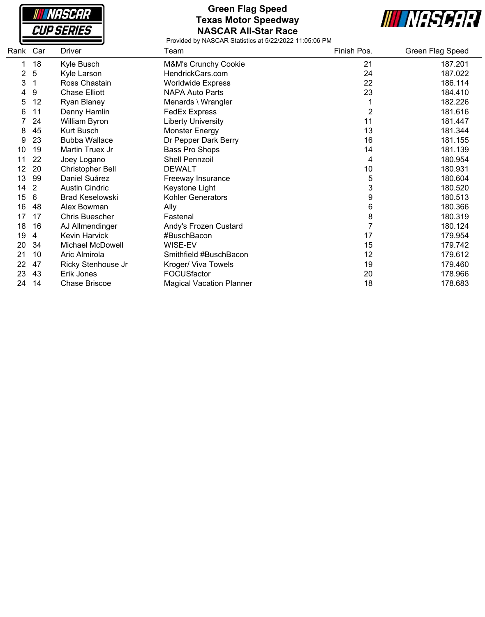**NASCAR CUP SERIES** 

#### **Green Flag Speed Texas Motor Speedway NASCAR All-Star Race**



| Rank           | Car | Driver                  | Team                            | Finish Pos. | Green Flag Speed |
|----------------|-----|-------------------------|---------------------------------|-------------|------------------|
|                | 18  | Kyle Busch              | M&M's Crunchy Cookie            | 21          | 187.201          |
| $\overline{2}$ | 5   | Kyle Larson             | HendrickCars.com                | 24          | 187.022          |
| 3              |     | Ross Chastain           | <b>Worldwide Express</b>        | 22          | 186.114          |
| 4              | 9   | <b>Chase Elliott</b>    | <b>NAPA Auto Parts</b>          | 23          | 184.410          |
| 5              | 12  | Ryan Blaney             | Menards \ Wrangler              |             | 182.226          |
| 6              | 11  | Denny Hamlin            | <b>FedEx Express</b>            | 2           | 181.616          |
|                | 24  | William Byron           | <b>Liberty University</b>       | 11          | 181.447          |
| 8              | 45  | Kurt Busch              | <b>Monster Energy</b>           | 13          | 181.344          |
| 9              | 23  | <b>Bubba Wallace</b>    | Dr Pepper Dark Berry            | 16          | 181.155          |
| 10             | 19  | Martin Truex Jr         | Bass Pro Shops                  | 14          | 181.139          |
| 11             | 22  | Joey Logano             | <b>Shell Pennzoil</b>           | 4           | 180.954          |
| 12             | 20  | <b>Christopher Bell</b> | <b>DEWALT</b>                   | 10          | 180.931          |
| 13             | 99  | Daniel Suárez           | Freeway Insurance               | 5           | 180.604          |
| 14             | 2   | <b>Austin Cindric</b>   | Keystone Light                  | 3           | 180.520          |
| 15             | 6   | <b>Brad Keselowski</b>  | <b>Kohler Generators</b>        | 9           | 180.513          |
| 16             | 48  | Alex Bowman             | Ally                            | 6           | 180.366          |
| 17             | 17  | Chris Buescher          | Fastenal                        | 8           | 180.319          |
| 18             | 16  | AJ Allmendinger         | Andy's Frozen Custard           |             | 180.124          |
| 19             | 4   | Kevin Harvick           | #BuschBacon                     | 17          | 179.954          |
| 20             | 34  | <b>Michael McDowell</b> | WISE-EV                         | 15          | 179.742          |
| 21             | 10  | Aric Almirola           | Smithfield #BuschBacon          | 12          | 179.612          |
| 22             | 47  | Ricky Stenhouse Jr      | Kroger/ Viva Towels             | 19          | 179.460          |
| 23             | 43  | Erik Jones              | <b>FOCUSfactor</b>              | 20          | 178.966          |
| 24             | 14  | <b>Chase Briscoe</b>    | <b>Magical Vacation Planner</b> | 18          | 178.683          |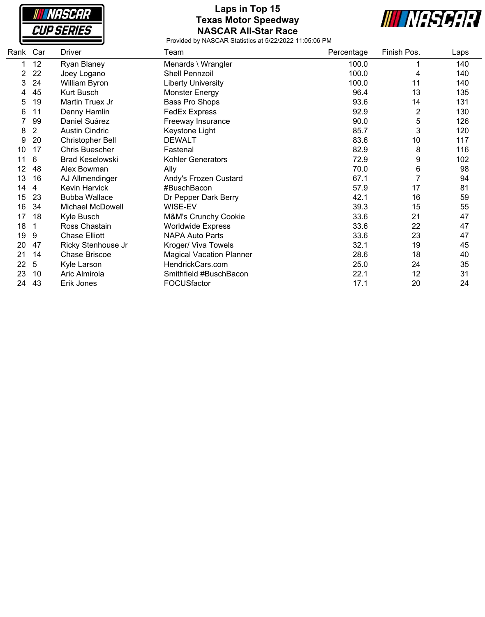**NASCAR CUP SERIES** 

# **Laps in Top 15 Texas Motor Speedway NASCAR All-Star Race**



| Rank | Car            | Driver                  | Team                            | Percentage | Finish Pos.    | Laps |
|------|----------------|-------------------------|---------------------------------|------------|----------------|------|
|      | 12             | Ryan Blaney             | Menards \ Wrangler              | 100.0      |                | 140  |
| 2    | 22             | Joey Logano             | Shell Pennzoil                  | 100.0      | 4              | 140  |
| 3    | 24             | William Byron           | <b>Liberty University</b>       | 100.0      | 11             | 140  |
|      | 45             | Kurt Busch              | <b>Monster Energy</b>           | 96.4       | 13             | 135  |
| 5    | 19             | Martin Truex Jr         | Bass Pro Shops                  | 93.6       | 14             | 131  |
| 6    | 11             | Denny Hamlin            | <b>FedEx Express</b>            | 92.9       | $\overline{2}$ | 130  |
|      | 99             | Daniel Suárez           | Freeway Insurance               | 90.0       | 5              | 126  |
| 8    | $\overline{2}$ | <b>Austin Cindric</b>   | Keystone Light                  | 85.7       | 3              | 120  |
| 9    | 20             | <b>Christopher Bell</b> | <b>DEWALT</b>                   | 83.6       | 10             | 117  |
| 10   | 17             | <b>Chris Buescher</b>   | Fastenal                        | 82.9       | 8              | 116  |
| 11   | 6              | <b>Brad Keselowski</b>  | Kohler Generators               | 72.9       | 9              | 102  |
| 12   | 48             | Alex Bowman             | Ally                            | 70.0       | 6              | 98   |
| 13   | 16             | AJ Allmendinger         | Andy's Frozen Custard           | 67.1       |                | 94   |
| 14   | 4              | Kevin Harvick           | #BuschBacon                     | 57.9       | 17             | 81   |
| 15   | 23             | <b>Bubba Wallace</b>    | Dr Pepper Dark Berry            | 42.1       | 16             | 59   |
| 16   | 34             | <b>Michael McDowell</b> | WISE-EV                         | 39.3       | 15             | 55   |
| 17   | 18             | Kyle Busch              | <b>M&amp;M's Crunchy Cookie</b> | 33.6       | 21             | 47   |
| 18   |                | Ross Chastain           | <b>Worldwide Express</b>        | 33.6       | 22             | 47   |
| 19   | 9              | <b>Chase Elliott</b>    | <b>NAPA Auto Parts</b>          | 33.6       | 23             | 47   |
| 20   | 47             | Ricky Stenhouse Jr      | Kroger/ Viva Towels             | 32.1       | 19             | 45   |
| 21   | 14             | <b>Chase Briscoe</b>    | <b>Magical Vacation Planner</b> | 28.6       | 18             | 40   |
| 22   | 5              | Kyle Larson             | HendrickCars.com                | 25.0       | 24             | 35   |
| 23   | 10             | Aric Almirola           | Smithfield #BuschBacon          | 22.1       | 12             | 31   |
| 24   | 43             | Erik Jones              | FOCUSfactor                     | 17.1       | 20             | 24   |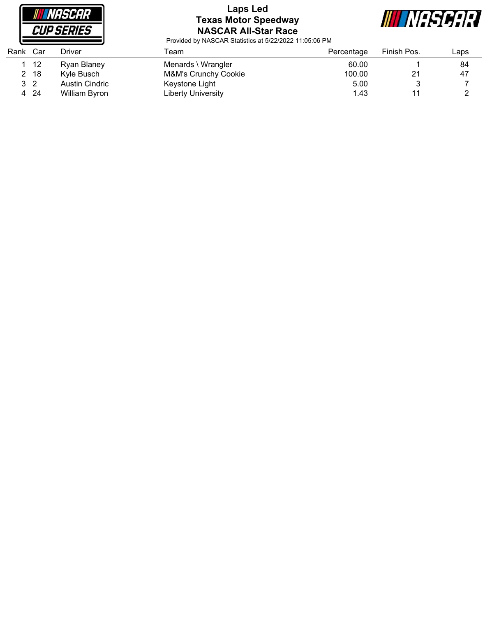

## **Laps Led Texas Motor Speedway NASCAR All-Star Race**



| Rank | Car            | Driver         | Геаm                 | Percentage | Finish Pos. | ∟aps |
|------|----------------|----------------|----------------------|------------|-------------|------|
|      | -12            | Ryan Blaney    | Menards \ Wrangler   | 60.00      |             | 84   |
|      | -18            | Kyle Busch     | M&M's Crunchy Cookie | 100.00     | 21          | 47   |
|      | 3 <sub>2</sub> | Austin Cindric | Keystone Light       | 5.00       |             |      |
| 4    | -24            | William Byron  | Liberty University   | 1.43       |             |      |
|      |                |                |                      |            |             |      |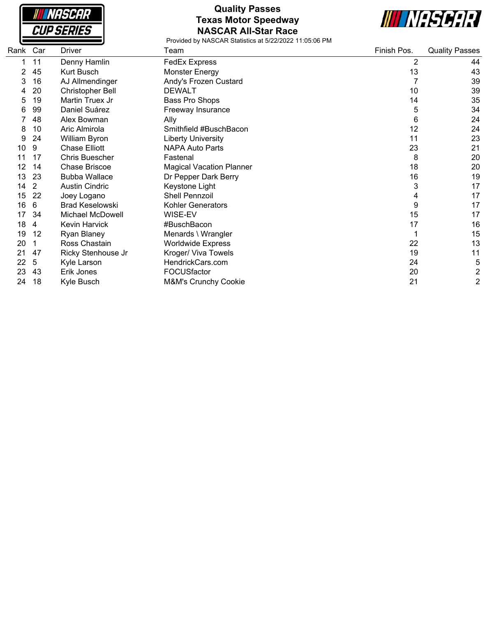

# **Quality Passes Texas Motor Speedway NASCAR All-Star Race**



| Rank Car |    | Driver                  | Team                            | Finish Pos. | <b>Quality Passes</b> |
|----------|----|-------------------------|---------------------------------|-------------|-----------------------|
|          | 11 | Denny Hamlin            | <b>FedEx Express</b>            | 2           | 44                    |
| 2        | 45 | Kurt Busch              | Monster Energy                  | 13          | 43                    |
| 3        | 16 | AJ Allmendinger         | Andy's Frozen Custard           |             | 39                    |
|          | 20 | <b>Christopher Bell</b> | <b>DEWALT</b>                   | 10          | 39                    |
| 5        | 19 | Martin Truex Jr         | Bass Pro Shops                  | 14          | 35                    |
| 6        | 99 | Daniel Suárez           | Freeway Insurance               | 5           | 34                    |
|          | 48 | Alex Bowman             | Ally                            | 6           | 24                    |
| 8        | 10 | Aric Almirola           | Smithfield #BuschBacon          | 12          | 24                    |
| 9        | 24 | William Byron           | <b>Liberty University</b>       | 11          | 23                    |
| 10       | 9  | <b>Chase Elliott</b>    | <b>NAPA Auto Parts</b>          | 23          | 21                    |
|          | 17 | <b>Chris Buescher</b>   | Fastenal                        | 8           | 20                    |
| 12       | 14 | <b>Chase Briscoe</b>    | <b>Magical Vacation Planner</b> | 18          | 20                    |
| 13       | 23 | <b>Bubba Wallace</b>    | Dr Pepper Dark Berry            | 16          | 19                    |
| 14       | 2  | <b>Austin Cindric</b>   | Keystone Light                  | 3           | 17                    |
| 15       | 22 | Joey Logano             | Shell Pennzoil                  | 4           | 17                    |
| 16       | 6  | <b>Brad Keselowski</b>  | Kohler Generators               | 9           | 17                    |
| 17       | 34 | Michael McDowell        | WISE-EV                         | 15          | 17                    |
| 18       | 4  | Kevin Harvick           | #BuschBacon                     | 17          | 16                    |
| 19       | 12 | Ryan Blaney             | Menards \ Wrangler              |             | 15                    |
| 20       |    | Ross Chastain           | <b>Worldwide Express</b>        | 22          | 13                    |
| 21       | 47 | Ricky Stenhouse Jr      | Kroger/ Viva Towels             | 19          | 11                    |
| 22       | 5  | Kyle Larson             | HendrickCars.com                | 24          | 5                     |
| 23       | 43 | Erik Jones              | FOCUSfactor                     | 20          | 2                     |
| 24       | 18 | Kyle Busch              | M&M's Crunchy Cookie            | 21          | 2                     |
|          |    |                         |                                 |             |                       |